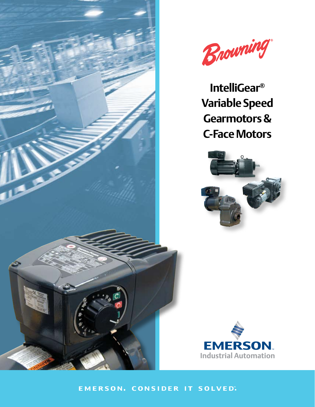



**IntelliGear® Variable Speed Gearmotors & C-Face Motors**





EMERSON. CONSIDER IT SOLVED".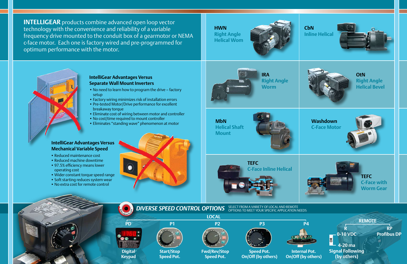**CbN Inline Helical**





**INTELLIGEAR** products combine advanced open loop vector technology with the convenience and reliability of a variable frequency drive mounted to the conduit box of a gearmotor or NEMA c-face motor. Each one is factory wired and pre-programmed for optimum performance with the motor.

> **OtN Right Angle Helical Bevel**

**MbN Helical Shaft Mount**



# **Washdown C-Face Motor**





**IRA Right Angle Worm**

**HWN Right Angle Helical Wom**





**PD P1 P2 P3 P4**



**LOCAL**

**R**

**REMOTE**



**Start/Stop Speed Pot.**



**Speed Pot.**



**Speed Pot. On/Off (by others)**

**Internal Pot. On/Off (by others)**



**Keypad**

**DIVERSE SPEED CONTROL OPTIONS** SELECT FROM A VARIETY OF LOCAL AND REMOTE<br>OPTIONS TO MEET YOUR SPECIFIC APPLICATION NEEDS

**0-10 VDC**

**4-20 ma Signal Following (by others) OR**

- No need to learn how to program the drive factory setup
- Factory wiring minimizes risk of installation errors
- Pre-tested Motor/Drive performance for excellent breakaway torque
- Eliminate cost of wiring between motor and controller
- No cost/time required to mount controller
- • Eliminates "standing wave" phenomenon at motor

**TEFC C-Face with Worm Gear**

**TEFC C-Face Inline Helical**





## **IntelliGear Advantages Versus Mechanical Variable Speed**

- Reduced maintenance cost
- Reduced machine downtime
- 97.5% efficiency means lower operating cost
- • Wider constant torque speed range
- Soft starting reduces system wear
- No extra cost for remote control



### **IntelliGear Advantages Versus Separate Wall Mount Inverters**

**RP Profibus DP**